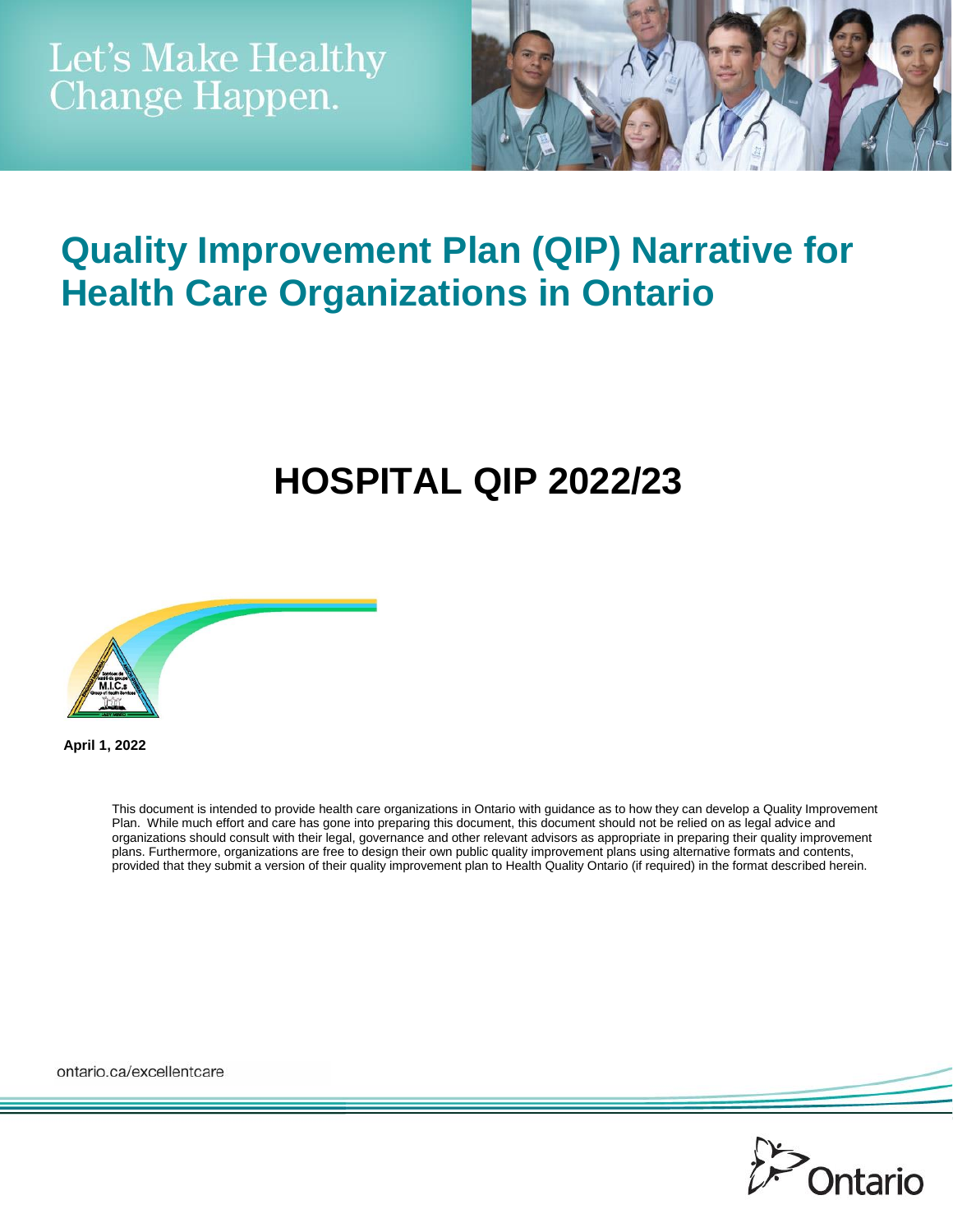

## **Quality Improvement Plan (QIP) Narrative for Health Care Organizations in Ontario**

# **HOSPITAL QIP 2022/23**



**April 1, 2022**

This document is intended to provide health care organizations in Ontario with guidance as to how they can develop a Quality Improvement Plan. While much effort and care has gone into preparing this document, this document should not be relied on as legal advice and organizations should consult with their legal, governance and other relevant advisors as appropriate in preparing their quality improvement plans. Furthermore, organizations are free to design their own public quality improvement plans using alternative formats and contents, provided that they submit a version of their quality improvement plan to Health Quality Ontario (if required) in the format described herein.

ontario.ca/excellentcare

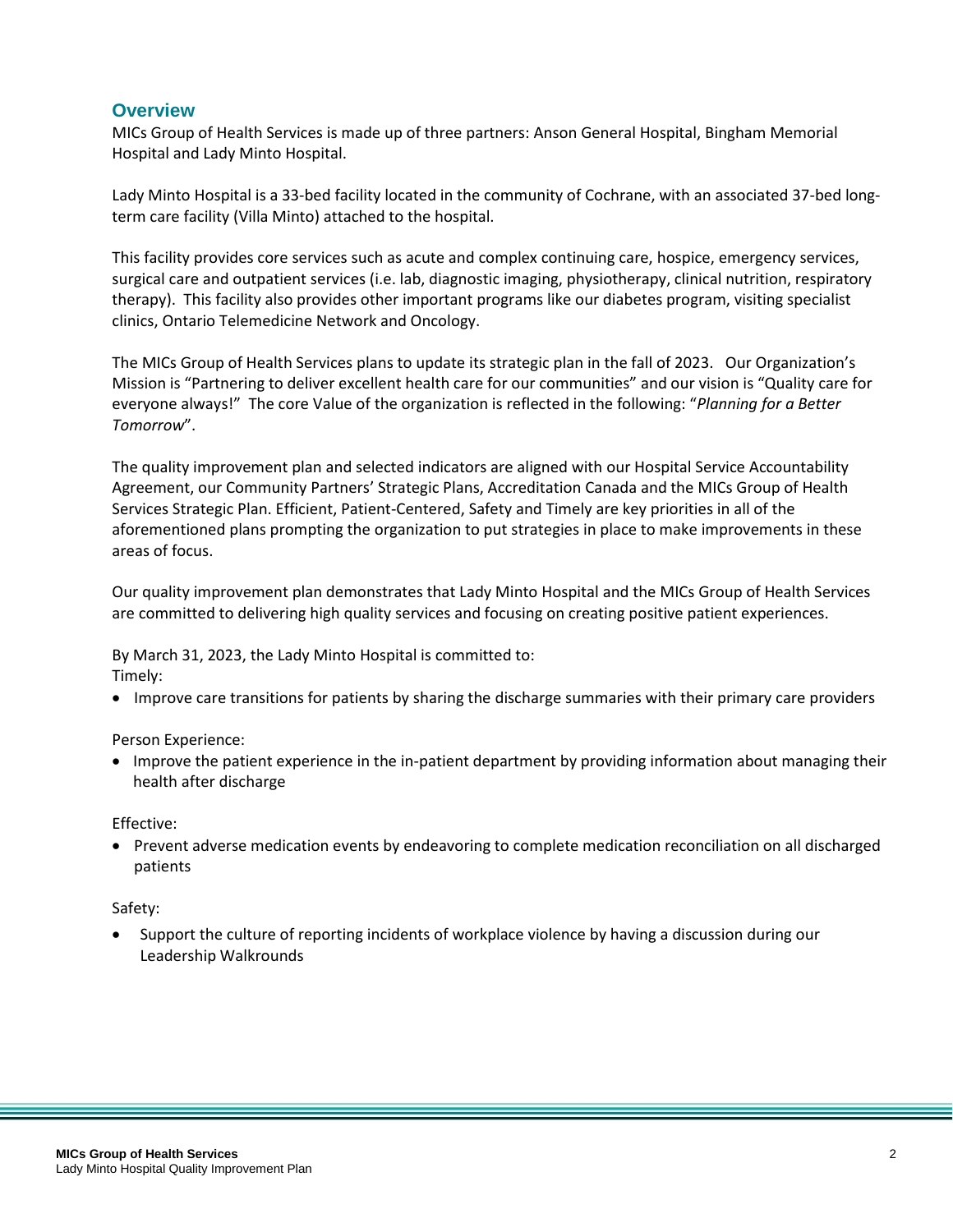#### **Overview**

MICs Group of Health Services is made up of three partners: Anson General Hospital, Bingham Memorial Hospital and Lady Minto Hospital.

Lady Minto Hospital is a 33-bed facility located in the community of Cochrane, with an associated 37-bed longterm care facility (Villa Minto) attached to the hospital.

This facility provides core services such as acute and complex continuing care, hospice, emergency services, surgical care and outpatient services (i.e. lab, diagnostic imaging, physiotherapy, clinical nutrition, respiratory therapy). This facility also provides other important programs like our diabetes program, visiting specialist clinics, Ontario Telemedicine Network and Oncology.

The MICs Group of Health Services plans to update its strategic plan in the fall of 2023. Our Organization's Mission is "Partnering to deliver excellent health care for our communities" and our vision is "Quality care for everyone always!" The core Value of the organization is reflected in the following: "*Planning for a Better Tomorrow*".

The quality improvement plan and selected indicators are aligned with our Hospital Service Accountability Agreement, our Community Partners' Strategic Plans, Accreditation Canada and the MICs Group of Health Services Strategic Plan. Efficient, Patient-Centered, Safety and Timely are key priorities in all of the aforementioned plans prompting the organization to put strategies in place to make improvements in these areas of focus.

Our quality improvement plan demonstrates that Lady Minto Hospital and the MICs Group of Health Services are committed to delivering high quality services and focusing on creating positive patient experiences.

By March 31, 2023, the Lady Minto Hospital is committed to: Timely:

Improve care transitions for patients by sharing the discharge summaries with their primary care providers

Person Experience:

 Improve the patient experience in the in-patient department by providing information about managing their health after discharge

Effective:

• Prevent adverse medication events by endeavoring to complete medication reconciliation on all discharged patients

#### Safety:

 Support the culture of reporting incidents of workplace violence by having a discussion during our Leadership Walkrounds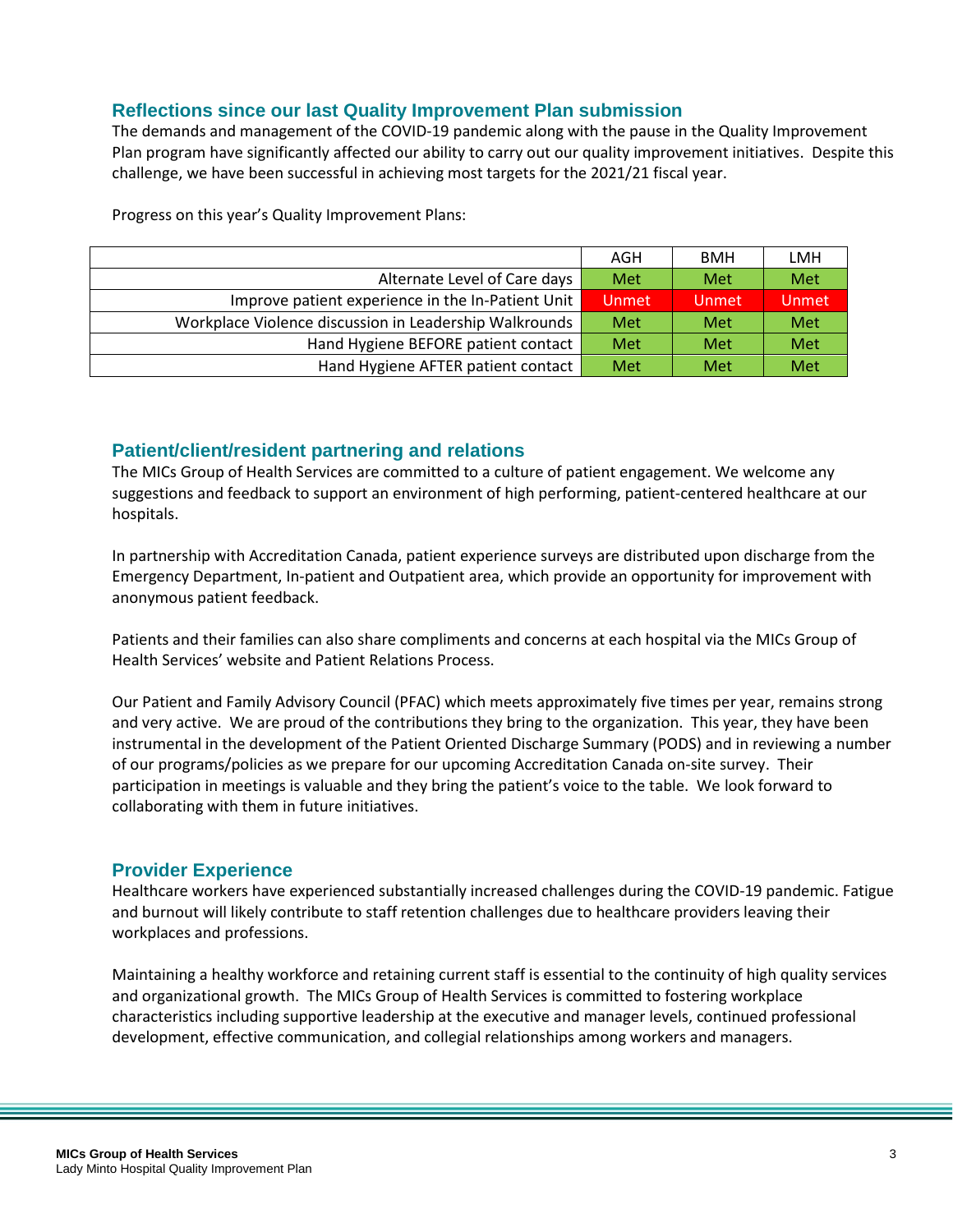#### **Reflections since our last Quality Improvement Plan submission**

The demands and management of the COVID-19 pandemic along with the pause in the Quality Improvement Plan program have significantly affected our ability to carry out our quality improvement initiatives. Despite this challenge, we have been successful in achieving most targets for the 2021/21 fiscal year.

Progress on this year's Quality Improvement Plans:

|                                                        | AGH          | <b>BMH</b> | LMH          |
|--------------------------------------------------------|--------------|------------|--------------|
| Alternate Level of Care days                           | Met          | Met        | Met          |
| Improve patient experience in the In-Patient Unit      | <b>Unmet</b> | Unmet      | <b>Unmet</b> |
| Workplace Violence discussion in Leadership Walkrounds | Met          | Met        | Met          |
| Hand Hygiene BEFORE patient contact                    | Met          | Met        | Met          |
| Hand Hygiene AFTER patient contact                     | Met          | Met        | Met          |

#### **Patient/client/resident partnering and relations**

The MICs Group of Health Services are committed to a culture of patient engagement. We welcome any suggestions and feedback to support an environment of high performing, patient-centered healthcare at our hospitals.

In partnership with Accreditation Canada, patient experience surveys are distributed upon discharge from the Emergency Department, In-patient and Outpatient area, which provide an opportunity for improvement with anonymous patient feedback.

Patients and their families can also share compliments and concerns at each hospital via the MICs Group of Health Services' website and Patient Relations Process.

Our Patient and Family Advisory Council (PFAC) which meets approximately five times per year, remains strong and very active. We are proud of the contributions they bring to the organization. This year, they have been instrumental in the development of the Patient Oriented Discharge Summary (PODS) and in reviewing a number of our programs/policies as we prepare for our upcoming Accreditation Canada on-site survey. Their participation in meetings is valuable and they bring the patient's voice to the table. We look forward to collaborating with them in future initiatives.

#### **Provider Experience**

Healthcare workers have experienced substantially increased challenges during the COVID-19 pandemic. Fatigue and burnout will likely contribute to staff retention challenges due to healthcare providers leaving their workplaces and professions.

Maintaining a healthy workforce and retaining current staff is essential to the continuity of high quality services and organizational growth. The MICs Group of Health Services is committed to fostering workplace characteristics including supportive leadership at the executive and manager levels, continued professional development, effective communication, and collegial relationships among workers and managers.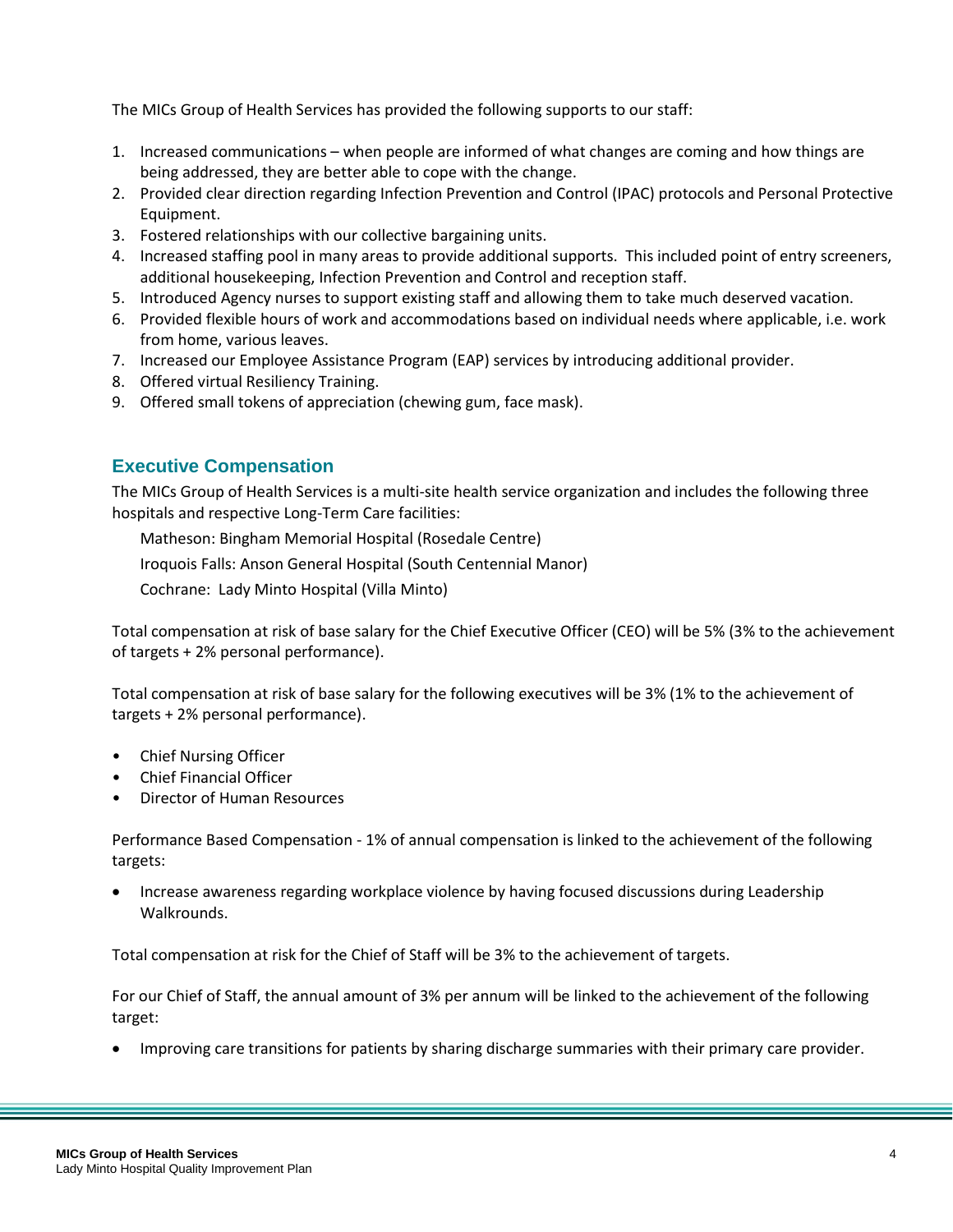The MICs Group of Health Services has provided the following supports to our staff:

- 1. Increased communications when people are informed of what changes are coming and how things are being addressed, they are better able to cope with the change.
- 2. Provided clear direction regarding Infection Prevention and Control (IPAC) protocols and Personal Protective Equipment.
- 3. Fostered relationships with our collective bargaining units.
- 4. Increased staffing pool in many areas to provide additional supports. This included point of entry screeners, additional housekeeping, Infection Prevention and Control and reception staff.
- 5. Introduced Agency nurses to support existing staff and allowing them to take much deserved vacation.
- 6. Provided flexible hours of work and accommodations based on individual needs where applicable, i.e. work from home, various leaves.
- 7. Increased our Employee Assistance Program (EAP) services by introducing additional provider.
- 8. Offered virtual Resiliency Training.
- 9. Offered small tokens of appreciation (chewing gum, face mask).

## **Executive Compensation**

The MICs Group of Health Services is a multi-site health service organization and includes the following three hospitals and respective Long-Term Care facilities:

Matheson: Bingham Memorial Hospital (Rosedale Centre)

Iroquois Falls: Anson General Hospital (South Centennial Manor)

Cochrane: Lady Minto Hospital (Villa Minto)

Total compensation at risk of base salary for the Chief Executive Officer (CEO) will be 5% (3% to the achievement of targets + 2% personal performance).

Total compensation at risk of base salary for the following executives will be 3% (1% to the achievement of targets + 2% personal performance).

- Chief Nursing Officer
- Chief Financial Officer
- Director of Human Resources

Performance Based Compensation - 1% of annual compensation is linked to the achievement of the following targets:

 Increase awareness regarding workplace violence by having focused discussions during Leadership Walkrounds.

Total compensation at risk for the Chief of Staff will be 3% to the achievement of targets.

For our Chief of Staff, the annual amount of 3% per annum will be linked to the achievement of the following target:

Improving care transitions for patients by sharing discharge summaries with their primary care provider.